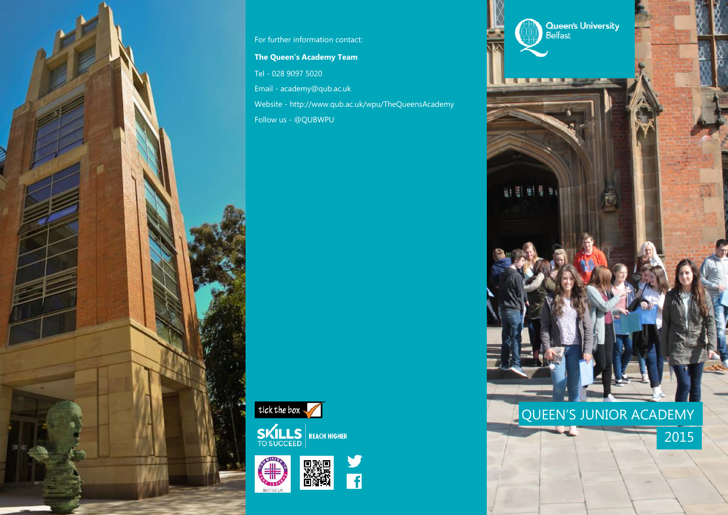

For further information contact:

**The Queen's Academy Team** Tel - 028 9097 5020 Email - academy@qub.ac.uk Website - http://www.qub.ac.uk/wpu/TheQueensAcademy Follow us - @QUBWPU







y<br>ii